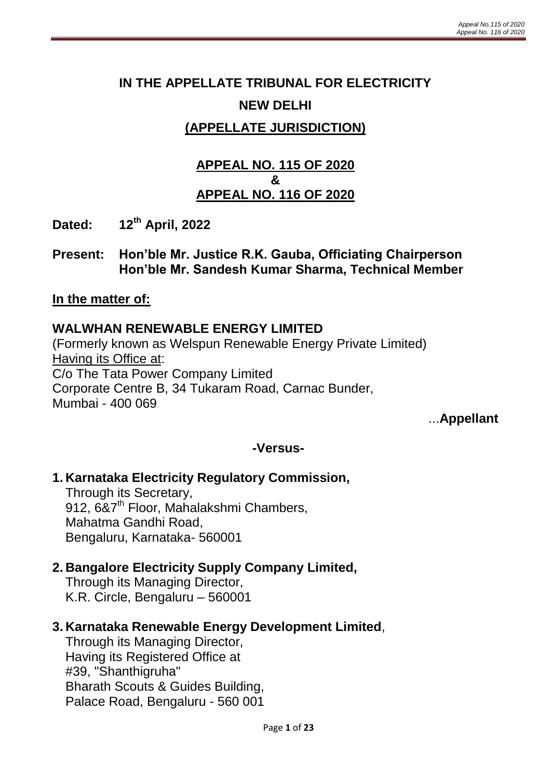# **IN THE APPELLATE TRIBUNAL FOR ELECTRICITY NEW DELHI**

# **(APPELLATE JURISDICTION)**

### **APPEAL NO. 115 OF 2020 & APPEAL NO. 116 OF 2020**

- **Dated: 12th April, 2022**
- **Present: Hon'ble Mr. Justice R.K. Gauba, Officiating Chairperson Hon'ble Mr. Sandesh Kumar Sharma, Technical Member**

#### **In the matter of:**

### **WALWHAN RENEWABLE ENERGY LIMITED**

(Formerly known as Welspun Renewable Energy Private Limited) Having its Office at: C/o The Tata Power Company Limited Corporate Centre B, 34 Tukaram Road, Carnac Bunder, Mumbai - 400 069

...**Appellant**

### **-Versus-**

### **1. Karnataka Electricity Regulatory Commission,**

Through its Secretary, 912, 6&7<sup>th</sup> Floor, Mahalakshmi Chambers, Mahatma Gandhi Road, Bengaluru, Karnataka- 560001

#### **2. Bangalore Electricity Supply Company Limited,**

Through its Managing Director, K.R. Circle, Bengaluru – 560001

#### **3. Karnataka Renewable Energy Development Limited**,

Through its Managing Director, Having its Registered Office at #39, "Shanthigruha" Bharath Scouts & Guides Building, Palace Road, Bengaluru - 560 001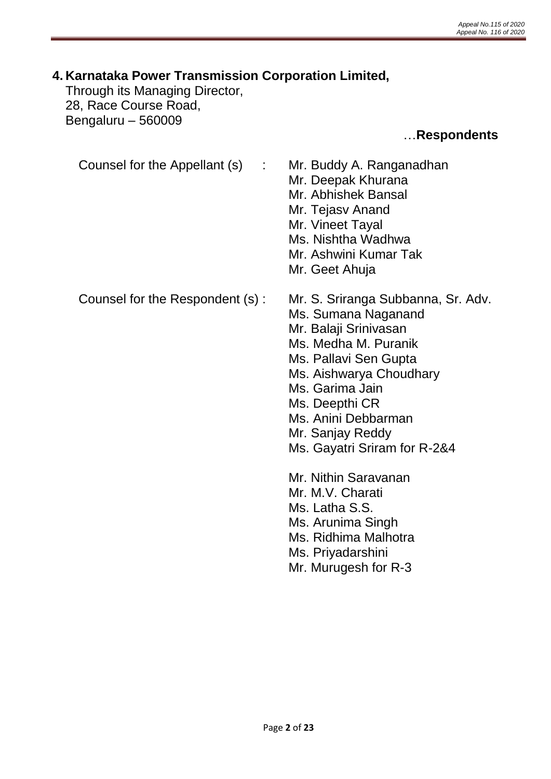# **4. Karnataka Power Transmission Corporation Limited,**

Through its Managing Director, 28, Race Course Road, Bengaluru – 560009

### …**Respondents**

Counsel for the Appellant (s) : Mr. Buddy A. Ranganadhan

- Mr. Deepak Khurana
- 
- Mr. Abhishek Bansal
- Mr. Tejasv Anand
- Mr. Vineet Tayal
- Ms. Nishtha Wadhwa
- Mr. Ashwini Kumar Tak
- Mr. Geet Ahuja
- 
- Counsel for the Respondent (s) : Mr. S. Sriranga Subbanna, Sr. Adv.
	- Ms. Sumana Naganand
	- Mr. Balaji Srinivasan
	- Ms. Medha M. Puranik
	- Ms. Pallavi Sen Gupta
	- Ms. Aishwarya Choudhary
	- Ms. Garima Jain
	- Ms. Deepthi CR
	- Ms. Anini Debbarman
	- Mr. Sanjay Reddy
	- Ms. Gayatri Sriram for R-2&4
	- Mr. Nithin Saravanan
	- Mr. M.V. Charati
	- Ms. Latha S.S.
	- Ms. Arunima Singh
	- Ms. Ridhima Malhotra
	- Ms. Priyadarshini
	- Mr. Murugesh for R-3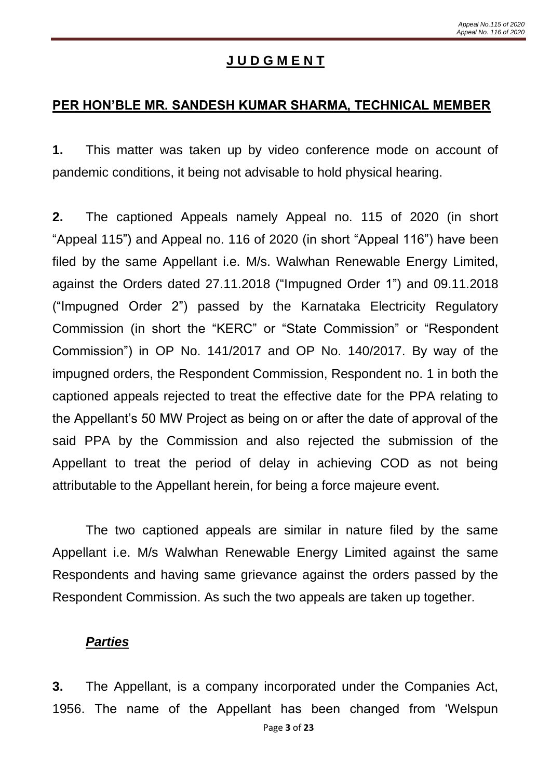### **J U D G M E N T**

#### **PER HON'BLE MR. SANDESH KUMAR SHARMA, TECHNICAL MEMBER**

**1.** This matter was taken up by video conference mode on account of pandemic conditions, it being not advisable to hold physical hearing.

**2.** The captioned Appeals namely Appeal no. 115 of 2020 (in short "Appeal 115") and Appeal no. 116 of 2020 (in short "Appeal 116") have been filed by the same Appellant i.e. M/s. Walwhan Renewable Energy Limited, against the Orders dated 27.11.2018 ("Impugned Order 1") and 09.11.2018 ("Impugned Order 2") passed by the Karnataka Electricity Regulatory Commission (in short the "KERC" or "State Commission" or "Respondent Commission") in OP No. 141/2017 and OP No. 140/2017. By way of the impugned orders, the Respondent Commission, Respondent no. 1 in both the captioned appeals rejected to treat the effective date for the PPA relating to the Appellant's 50 MW Project as being on or after the date of approval of the said PPA by the Commission and also rejected the submission of the Appellant to treat the period of delay in achieving COD as not being attributable to the Appellant herein, for being a force majeure event.

The two captioned appeals are similar in nature filed by the same Appellant i.e. M/s Walwhan Renewable Energy Limited against the same Respondents and having same grievance against the orders passed by the Respondent Commission. As such the two appeals are taken up together.

#### *Parties*

**3.** The Appellant, is a company incorporated under the Companies Act, 1956. The name of the Appellant has been changed from 'Welspun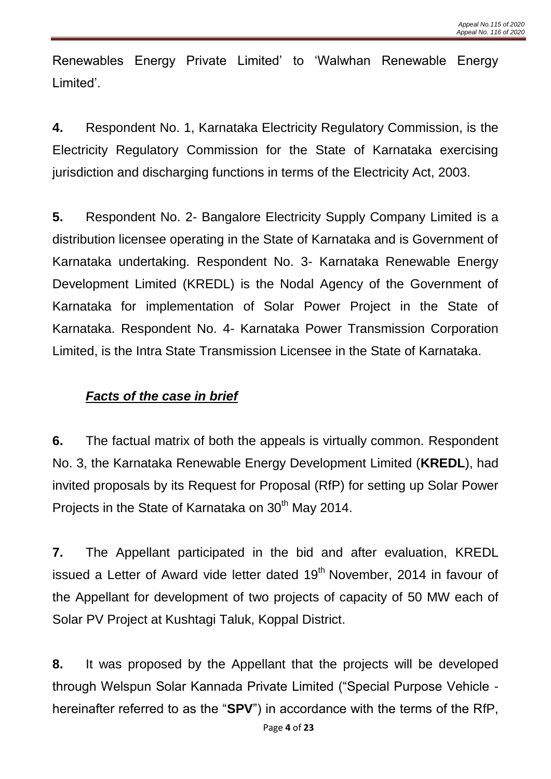Renewables Energy Private Limited' to 'Walwhan Renewable Energy Limited'.

**4.** Respondent No. 1, Karnataka Electricity Regulatory Commission, is the Electricity Regulatory Commission for the State of Karnataka exercising jurisdiction and discharging functions in terms of the Electricity Act, 2003.

**5.** Respondent No. 2- Bangalore Electricity Supply Company Limited is a distribution licensee operating in the State of Karnataka and is Government of Karnataka undertaking. Respondent No. 3- Karnataka Renewable Energy Development Limited (KREDL) is the Nodal Agency of the Government of Karnataka for implementation of Solar Power Project in the State of Karnataka. Respondent No. 4- Karnataka Power Transmission Corporation Limited, is the Intra State Transmission Licensee in the State of Karnataka.

# *Facts of the case in brief*

**6.** The factual matrix of both the appeals is virtually common. Respondent No. 3, the Karnataka Renewable Energy Development Limited (**KREDL**), had invited proposals by its Request for Proposal (RfP) for setting up Solar Power Projects in the State of Karnataka on 30<sup>th</sup> May 2014.

**7.** The Appellant participated in the bid and after evaluation, KREDL issued a Letter of Award vide letter dated 19<sup>th</sup> November, 2014 in favour of the Appellant for development of two projects of capacity of 50 MW each of Solar PV Project at Kushtagi Taluk, Koppal District.

**8.** It was proposed by the Appellant that the projects will be developed through Welspun Solar Kannada Private Limited ("Special Purpose Vehicle hereinafter referred to as the "**SPV**") in accordance with the terms of the RfP,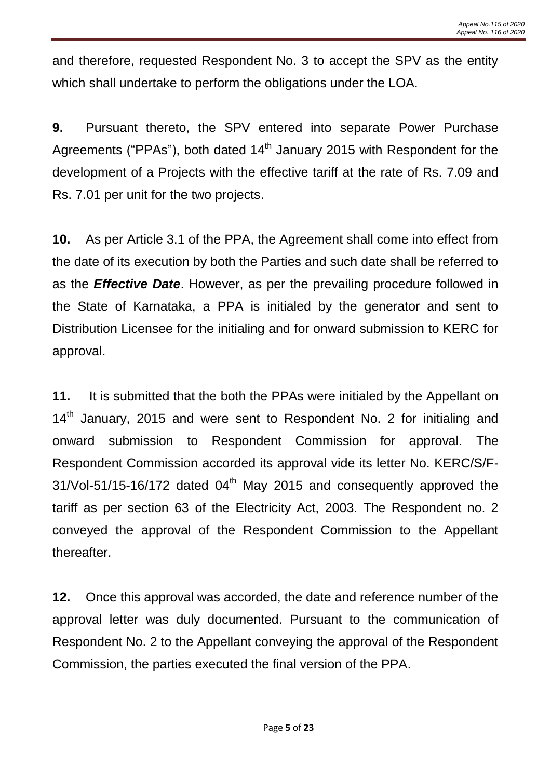and therefore, requested Respondent No. 3 to accept the SPV as the entity which shall undertake to perform the obligations under the LOA.

**9.** Pursuant thereto, the SPV entered into separate Power Purchase Agreements ("PPAs"), both dated  $14<sup>th</sup>$  January 2015 with Respondent for the development of a Projects with the effective tariff at the rate of Rs. 7.09 and Rs. 7.01 per unit for the two projects.

**10.** As per Article 3.1 of the PPA, the Agreement shall come into effect from the date of its execution by both the Parties and such date shall be referred to as the *Effective Date*. However, as per the prevailing procedure followed in the State of Karnataka, a PPA is initialed by the generator and sent to Distribution Licensee for the initialing and for onward submission to KERC for approval.

**11.** It is submitted that the both the PPAs were initialed by the Appellant on 14<sup>th</sup> January, 2015 and were sent to Respondent No. 2 for initialing and onward submission to Respondent Commission for approval. The Respondent Commission accorded its approval vide its letter No. KERC/S/F- $31/V$ ol-51/15-16/172 dated  $04<sup>th</sup>$  May 2015 and consequently approved the tariff as per section 63 of the Electricity Act, 2003. The Respondent no. 2 conveyed the approval of the Respondent Commission to the Appellant thereafter.

**12.** Once this approval was accorded, the date and reference number of the approval letter was duly documented. Pursuant to the communication of Respondent No. 2 to the Appellant conveying the approval of the Respondent Commission, the parties executed the final version of the PPA.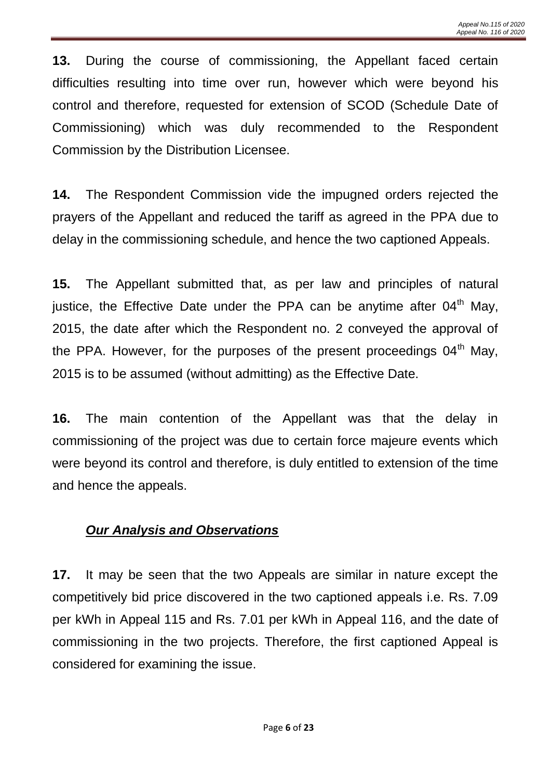**13.** During the course of commissioning, the Appellant faced certain difficulties resulting into time over run, however which were beyond his control and therefore, requested for extension of SCOD (Schedule Date of Commissioning) which was duly recommended to the Respondent Commission by the Distribution Licensee.

**14.** The Respondent Commission vide the impugned orders rejected the prayers of the Appellant and reduced the tariff as agreed in the PPA due to delay in the commissioning schedule, and hence the two captioned Appeals.

**15.** The Appellant submitted that, as per law and principles of natural justice, the Effective Date under the PPA can be anytime after  $04<sup>th</sup>$  Mav. 2015, the date after which the Respondent no. 2 conveyed the approval of the PPA. However, for the purposes of the present proceedings  $04<sup>th</sup>$  May, 2015 is to be assumed (without admitting) as the Effective Date.

**16.** The main contention of the Appellant was that the delay in commissioning of the project was due to certain force majeure events which were beyond its control and therefore, is duly entitled to extension of the time and hence the appeals.

# *Our Analysis and Observations*

**17.** It may be seen that the two Appeals are similar in nature except the competitively bid price discovered in the two captioned appeals i.e. Rs. 7.09 per kWh in Appeal 115 and Rs. 7.01 per kWh in Appeal 116, and the date of commissioning in the two projects. Therefore, the first captioned Appeal is considered for examining the issue.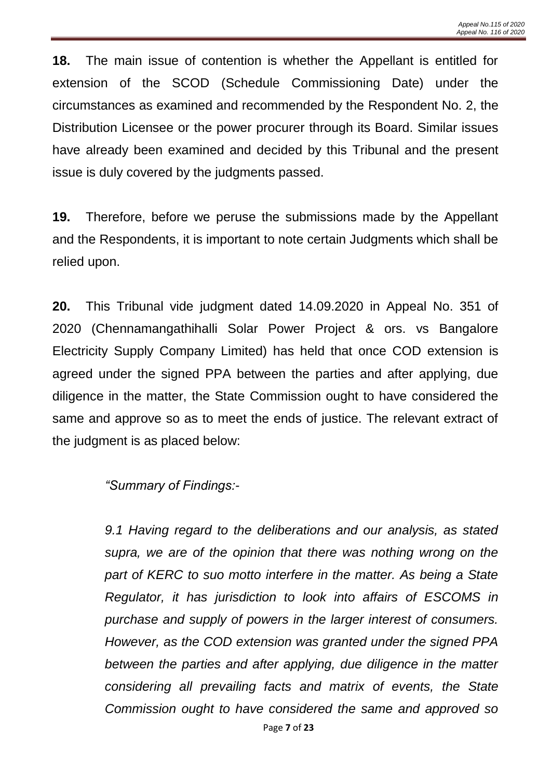**18.** The main issue of contention is whether the Appellant is entitled for extension of the SCOD (Schedule Commissioning Date) under the circumstances as examined and recommended by the Respondent No. 2, the Distribution Licensee or the power procurer through its Board. Similar issues have already been examined and decided by this Tribunal and the present issue is duly covered by the judgments passed.

**19.** Therefore, before we peruse the submissions made by the Appellant and the Respondents, it is important to note certain Judgments which shall be relied upon.

**20.** This Tribunal vide judgment dated 14.09.2020 in Appeal No. 351 of 2020 (Chennamangathihalli Solar Power Project & ors. vs Bangalore Electricity Supply Company Limited) has held that once COD extension is agreed under the signed PPA between the parties and after applying, due diligence in the matter, the State Commission ought to have considered the same and approve so as to meet the ends of justice. The relevant extract of the judgment is as placed below:

*"Summary of Findings:-*

*9.1 Having regard to the deliberations and our analysis, as stated supra, we are of the opinion that there was nothing wrong on the part of KERC to suo motto interfere in the matter. As being a State Regulator, it has jurisdiction to look into affairs of ESCOMS in purchase and supply of powers in the larger interest of consumers. However, as the COD extension was granted under the signed PPA between the parties and after applying, due diligence in the matter considering all prevailing facts and matrix of events, the State Commission ought to have considered the same and approved so*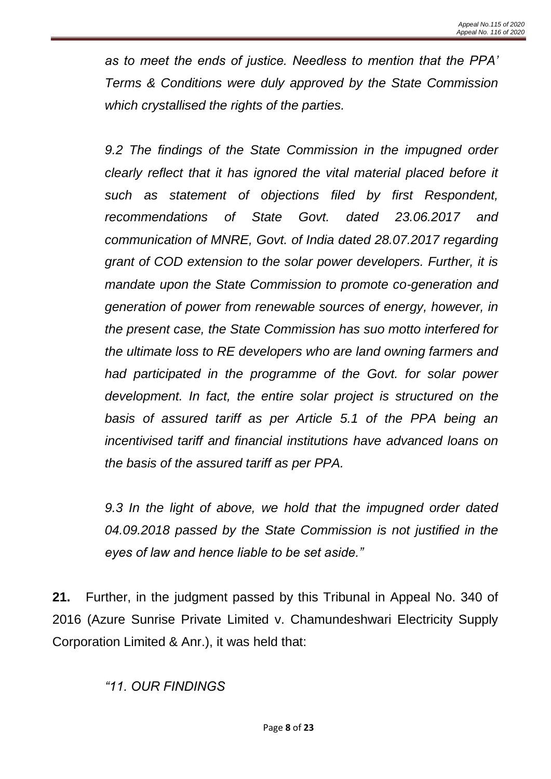*as to meet the ends of justice. Needless to mention that the PPA' Terms & Conditions were duly approved by the State Commission which crystallised the rights of the parties.*

*9.2 The findings of the State Commission in the impugned order clearly reflect that it has ignored the vital material placed before it such as statement of objections filed by first Respondent, recommendations of State Govt. dated 23.06.2017 and communication of MNRE, Govt. of India dated 28.07.2017 regarding grant of COD extension to the solar power developers. Further, it is mandate upon the State Commission to promote co-generation and generation of power from renewable sources of energy, however, in the present case, the State Commission has suo motto interfered for the ultimate loss to RE developers who are land owning farmers and had participated in the programme of the Govt. for solar power development. In fact, the entire solar project is structured on the basis of assured tariff as per Article 5.1 of the PPA being an incentivised tariff and financial institutions have advanced loans on the basis of the assured tariff as per PPA.*

*9.3 In the light of above, we hold that the impugned order dated 04.09.2018 passed by the State Commission is not justified in the eyes of law and hence liable to be set aside."*

**21.** Further, in the judgment passed by this Tribunal in Appeal No. 340 of 2016 (Azure Sunrise Private Limited v. Chamundeshwari Electricity Supply Corporation Limited & Anr.), it was held that:

# *"11. OUR FINDINGS*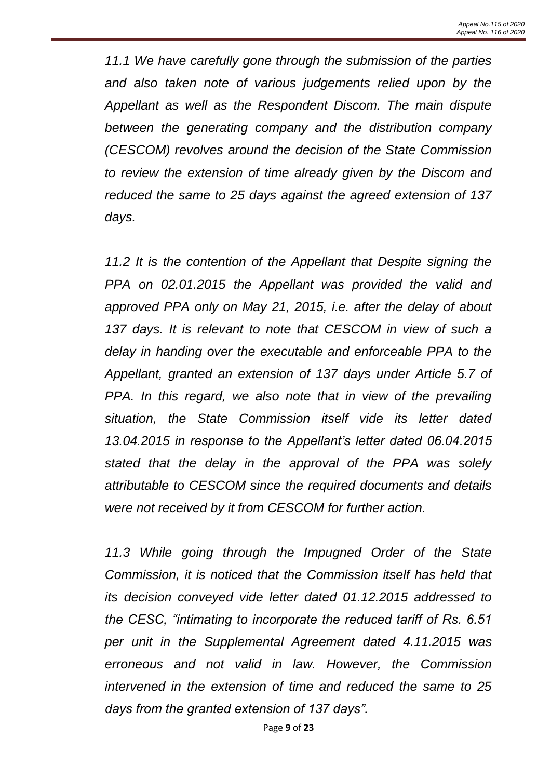*11.1 We have carefully gone through the submission of the parties and also taken note of various judgements relied upon by the Appellant as well as the Respondent Discom. The main dispute between the generating company and the distribution company (CESCOM) revolves around the decision of the State Commission to review the extension of time already given by the Discom and reduced the same to 25 days against the agreed extension of 137 days.* 

*11.2 It is the contention of the Appellant that Despite signing the PPA on 02.01.2015 the Appellant was provided the valid and approved PPA only on May 21, 2015, i.e. after the delay of about*  137 days. It is relevant to note that CESCOM in view of such a *delay in handing over the executable and enforceable PPA to the Appellant, granted an extension of 137 days under Article 5.7 of PPA. In this regard, we also note that in view of the prevailing situation, the State Commission itself vide its letter dated 13.04.2015 in response to the Appellant's letter dated 06.04.2015 stated that the delay in the approval of the PPA was solely attributable to CESCOM since the required documents and details were not received by it from CESCOM for further action.* 

*11.3 While going through the Impugned Order of the State Commission, it is noticed that the Commission itself has held that its decision conveyed vide letter dated 01.12.2015 addressed to the CESC, "intimating to incorporate the reduced tariff of Rs. 6.51 per unit in the Supplemental Agreement dated 4.11.2015 was erroneous and not valid in law. However, the Commission intervened in the extension of time and reduced the same to 25 days from the granted extension of 137 days".*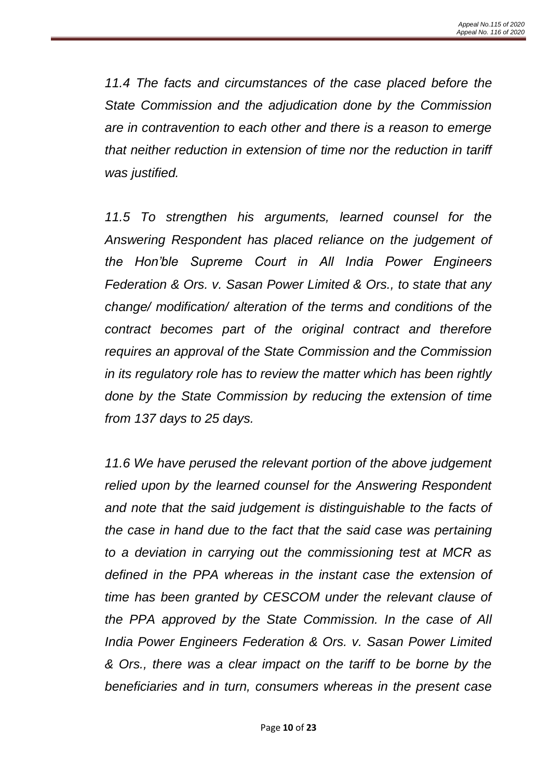*11.4 The facts and circumstances of the case placed before the State Commission and the adjudication done by the Commission are in contravention to each other and there is a reason to emerge that neither reduction in extension of time nor the reduction in tariff was justified.*

*11.5 To strengthen his arguments, learned counsel for the Answering Respondent has placed reliance on the judgement of the Hon'ble Supreme Court in All India Power Engineers Federation & Ors. v. Sasan Power Limited & Ors., to state that any change/ modification/ alteration of the terms and conditions of the contract becomes part of the original contract and therefore requires an approval of the State Commission and the Commission in its regulatory role has to review the matter which has been rightly done by the State Commission by reducing the extension of time from 137 days to 25 days.* 

*11.6 We have perused the relevant portion of the above judgement relied upon by the learned counsel for the Answering Respondent and note that the said judgement is distinguishable to the facts of the case in hand due to the fact that the said case was pertaining to a deviation in carrying out the commissioning test at MCR as defined in the PPA whereas in the instant case the extension of time has been granted by CESCOM under the relevant clause of the PPA approved by the State Commission. In the case of All India Power Engineers Federation & Ors. v. Sasan Power Limited & Ors., there was a clear impact on the tariff to be borne by the beneficiaries and in turn, consumers whereas in the present case*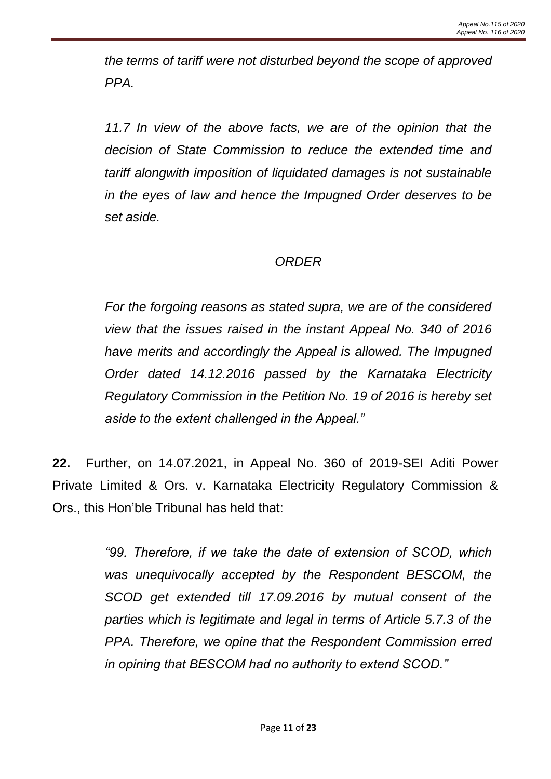*the terms of tariff were not disturbed beyond the scope of approved PPA.* 

11.7 In view of the above facts, we are of the opinion that the *decision of State Commission to reduce the extended time and tariff alongwith imposition of liquidated damages is not sustainable in the eyes of law and hence the Impugned Order deserves to be set aside.*

### *ORDER*

*For the forgoing reasons as stated supra, we are of the considered view that the issues raised in the instant Appeal No. 340 of 2016 have merits and accordingly the Appeal is allowed. The Impugned Order dated 14.12.2016 passed by the Karnataka Electricity Regulatory Commission in the Petition No. 19 of 2016 is hereby set aside to the extent challenged in the Appeal."*

**22.** Further, on 14.07.2021, in Appeal No. 360 of 2019-SEI Aditi Power Private Limited & Ors. v. Karnataka Electricity Regulatory Commission & Ors., this Hon'ble Tribunal has held that:

> *"99. Therefore, if we take the date of extension of SCOD, which was unequivocally accepted by the Respondent BESCOM, the SCOD get extended till 17.09.2016 by mutual consent of the parties which is legitimate and legal in terms of Article 5.7.3 of the PPA. Therefore, we opine that the Respondent Commission erred in opining that BESCOM had no authority to extend SCOD."*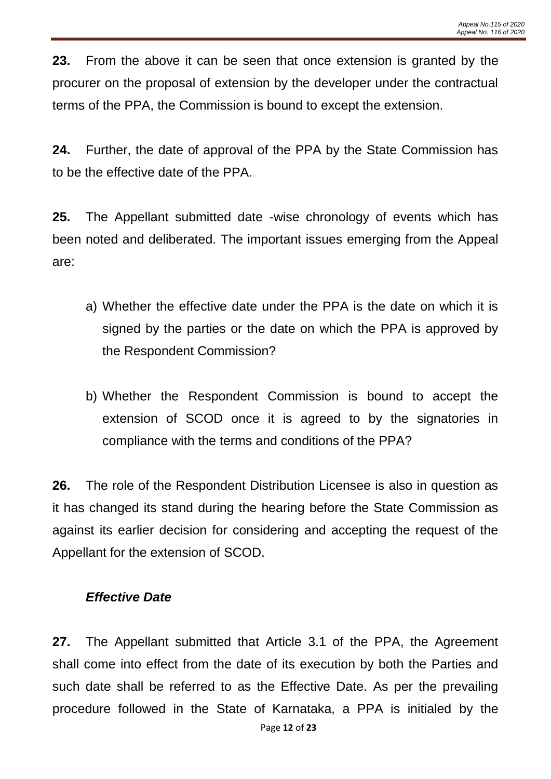**23.** From the above it can be seen that once extension is granted by the procurer on the proposal of extension by the developer under the contractual terms of the PPA, the Commission is bound to except the extension.

**24.** Further, the date of approval of the PPA by the State Commission has to be the effective date of the PPA.

**25.** The Appellant submitted date -wise chronology of events which has been noted and deliberated. The important issues emerging from the Appeal are:

- a) Whether the effective date under the PPA is the date on which it is signed by the parties or the date on which the PPA is approved by the Respondent Commission?
- b) Whether the Respondent Commission is bound to accept the extension of SCOD once it is agreed to by the signatories in compliance with the terms and conditions of the PPA?

**26.** The role of the Respondent Distribution Licensee is also in question as it has changed its stand during the hearing before the State Commission as against its earlier decision for considering and accepting the request of the Appellant for the extension of SCOD.

# *Effective Date*

**27.** The Appellant submitted that Article 3.1 of the PPA, the Agreement shall come into effect from the date of its execution by both the Parties and such date shall be referred to as the Effective Date. As per the prevailing procedure followed in the State of Karnataka, a PPA is initialed by the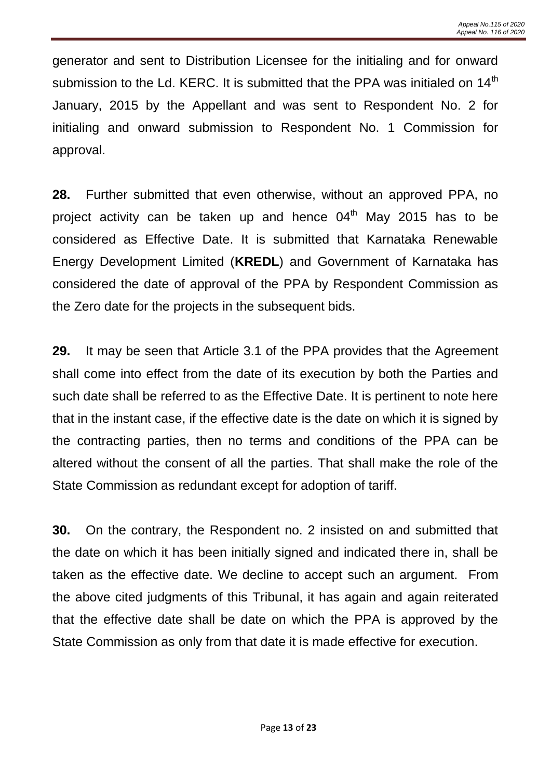generator and sent to Distribution Licensee for the initialing and for onward submission to the Ld. KERC. It is submitted that the PPA was initialed on  $14<sup>th</sup>$ January, 2015 by the Appellant and was sent to Respondent No. 2 for initialing and onward submission to Respondent No. 1 Commission for approval.

**28.** Further submitted that even otherwise, without an approved PPA, no project activity can be taken up and hence  $04<sup>th</sup>$  May 2015 has to be considered as Effective Date. It is submitted that Karnataka Renewable Energy Development Limited (**KREDL**) and Government of Karnataka has considered the date of approval of the PPA by Respondent Commission as the Zero date for the projects in the subsequent bids.

**29.** It may be seen that Article 3.1 of the PPA provides that the Agreement shall come into effect from the date of its execution by both the Parties and such date shall be referred to as the Effective Date. It is pertinent to note here that in the instant case, if the effective date is the date on which it is signed by the contracting parties, then no terms and conditions of the PPA can be altered without the consent of all the parties. That shall make the role of the State Commission as redundant except for adoption of tariff.

**30.** On the contrary, the Respondent no. 2 insisted on and submitted that the date on which it has been initially signed and indicated there in, shall be taken as the effective date. We decline to accept such an argument. From the above cited judgments of this Tribunal, it has again and again reiterated that the effective date shall be date on which the PPA is approved by the State Commission as only from that date it is made effective for execution.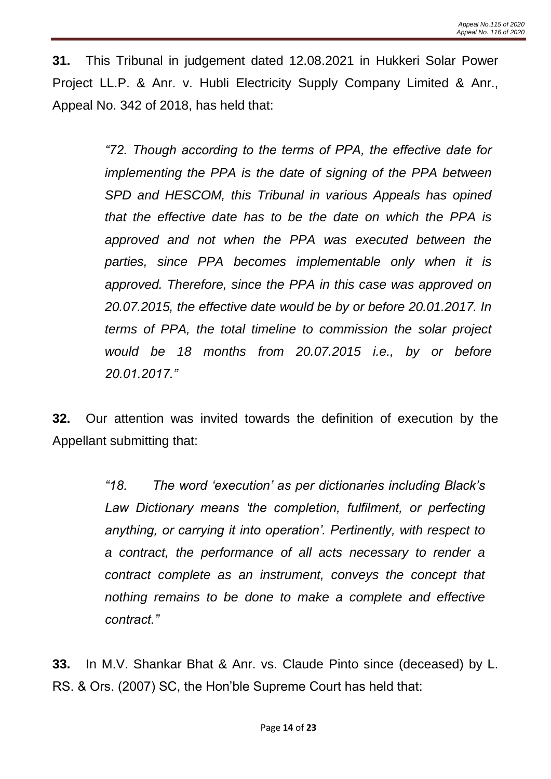**31.** This Tribunal in judgement dated 12.08.2021 in Hukkeri Solar Power Project LL.P. & Anr. v. Hubli Electricity Supply Company Limited & Anr., Appeal No. 342 of 2018, has held that:

> *"72. Though according to the terms of PPA, the effective date for implementing the PPA is the date of signing of the PPA between SPD and HESCOM, this Tribunal in various Appeals has opined that the effective date has to be the date on which the PPA is approved and not when the PPA was executed between the parties, since PPA becomes implementable only when it is approved. Therefore, since the PPA in this case was approved on 20.07.2015, the effective date would be by or before 20.01.2017. In terms of PPA, the total timeline to commission the solar project would be 18 months from 20.07.2015 i.e., by or before 20.01.2017."*

**32.** Our attention was invited towards the definition of execution by the Appellant submitting that:

> *"18. The word 'execution' as per dictionaries including Black's*  Law Dictionary means 'the completion, fulfilment, or perfecting *anything, or carrying it into operation'. Pertinently, with respect to a contract, the performance of all acts necessary to render a contract complete as an instrument, conveys the concept that nothing remains to be done to make a complete and effective contract."*

**33.** In M.V. Shankar Bhat & Anr. vs. Claude Pinto since (deceased) by L. RS. & Ors. (2007) SC, the Hon'ble Supreme Court has held that: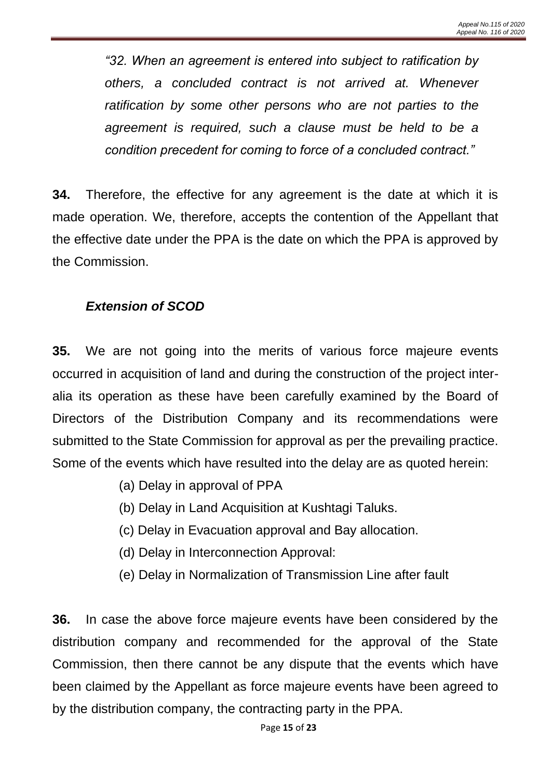*"32. When an agreement is entered into subject to ratification by others, a concluded contract is not arrived at. Whenever ratification by some other persons who are not parties to the agreement is required, such a clause must be held to be a condition precedent for coming to force of a concluded contract."*

**34.** Therefore, the effective for any agreement is the date at which it is made operation. We, therefore, accepts the contention of the Appellant that the effective date under the PPA is the date on which the PPA is approved by the Commission.

# *Extension of SCOD*

**35.** We are not going into the merits of various force majeure events occurred in acquisition of land and during the construction of the project interalia its operation as these have been carefully examined by the Board of Directors of the Distribution Company and its recommendations were submitted to the State Commission for approval as per the prevailing practice. Some of the events which have resulted into the delay are as quoted herein:

- (a) Delay in approval of PPA
- (b) Delay in Land Acquisition at Kushtagi Taluks.
- (c) Delay in Evacuation approval and Bay allocation.
- (d) Delay in Interconnection Approval:
- (e) Delay in Normalization of Transmission Line after fault

**36.** In case the above force majeure events have been considered by the distribution company and recommended for the approval of the State Commission, then there cannot be any dispute that the events which have been claimed by the Appellant as force majeure events have been agreed to by the distribution company, the contracting party in the PPA.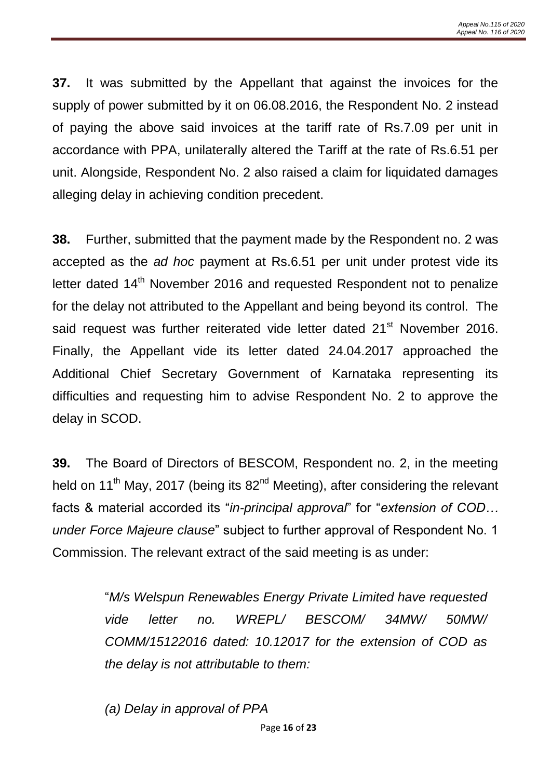**37.** It was submitted by the Appellant that against the invoices for the supply of power submitted by it on 06.08.2016, the Respondent No. 2 instead of paying the above said invoices at the tariff rate of Rs.7.09 per unit in accordance with PPA, unilaterally altered the Tariff at the rate of Rs.6.51 per unit. Alongside, Respondent No. 2 also raised a claim for liquidated damages alleging delay in achieving condition precedent.

**38.** Further, submitted that the payment made by the Respondent no. 2 was accepted as the *ad hoc* payment at Rs.6.51 per unit under protest vide its letter dated 14<sup>th</sup> November 2016 and requested Respondent not to penalize for the delay not attributed to the Appellant and being beyond its control. The said request was further reiterated vide letter dated 21<sup>st</sup> November 2016. Finally, the Appellant vide its letter dated 24.04.2017 approached the Additional Chief Secretary Government of Karnataka representing its difficulties and requesting him to advise Respondent No. 2 to approve the delay in SCOD.

**39.** The Board of Directors of BESCOM, Respondent no. 2, in the meeting held on 11<sup>th</sup> May, 2017 (being its  $82<sup>nd</sup>$  Meeting), after considering the relevant facts & material accorded its "*in-principal approval*" for "*extension of COD… under Force Majeure clause*" subject to further approval of Respondent No. 1 Commission. The relevant extract of the said meeting is as under:

> "*M/s Welspun Renewables Energy Private Limited have requested vide letter no. WREPL/ BESCOM/ 34MW/ 50MW/ COMM/15122016 dated: 10.12017 for the extension of COD as the delay is not attributable to them:*

*(a) Delay in approval of PPA*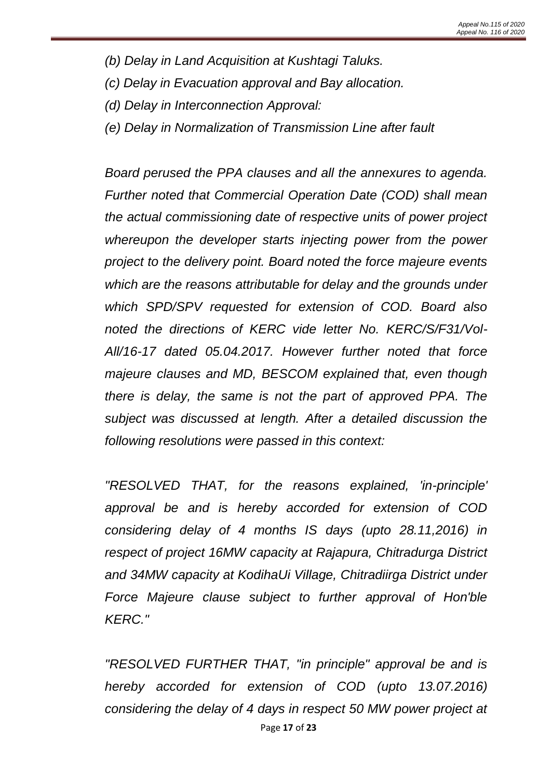- *(b) Delay in Land Acquisition at Kushtagi Taluks.*
- *(c) Delay in Evacuation approval and Bay allocation.*
- *(d) Delay in Interconnection Approval:*
- *(e) Delay in Normalization of Transmission Line after fault*

*Board perused the PPA clauses and all the annexures to agenda. Further noted that Commercial Operation Date (COD) shall mean the actual commissioning date of respective units of power project whereupon the developer starts injecting power from the power project to the delivery point. Board noted the force majeure events which are the reasons attributable for delay and the grounds under which SPD/SPV requested for extension of COD. Board also noted the directions of KERC vide letter No. KERC/S/F31/Vol-All/16-17 dated 05.04.2017. However further noted that force majeure clauses and MD, BESCOM explained that, even though there is delay, the same is not the part of approved PPA. The subject was discussed at length. After a detailed discussion the following resolutions were passed in this context:*

*"RESOLVED THAT, for the reasons explained, 'in-principle' approval be and is hereby accorded for extension of COD considering delay of 4 months IS days (upto 28.11,2016) in respect of project 16MW capacity at Rajapura, Chitradurga District and 34MW capacity at KodihaUi Village, Chitradiirga District under Force Majeure clause subject to further approval of Hon'ble KERC."* 

Page **17** of **23** *"RESOLVED FURTHER THAT, "in principle" approval be and is hereby accorded for extension of COD (upto 13.07.2016) considering the delay of 4 days in respect 50 MW power project at*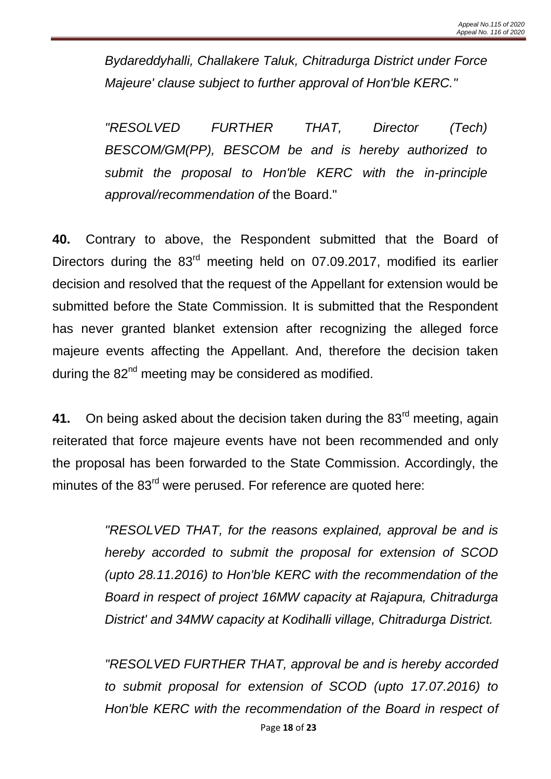*Bydareddyhalli, Challakere Taluk, Chitradurga District under Force Majeure' clause subject to further approval of Hon'ble KERC."* 

*"RESOLVED FURTHER THAT, Director (Tech) BESCOM/GM(PP), BESCOM be and is hereby authorized to submit the proposal to Hon'ble KERC with the in-principle approval/recommendation of* the Board."

**40.** Contrary to above, the Respondent submitted that the Board of Directors during the 83<sup>rd</sup> meeting held on 07.09.2017, modified its earlier decision and resolved that the request of the Appellant for extension would be submitted before the State Commission. It is submitted that the Respondent has never granted blanket extension after recognizing the alleged force majeure events affecting the Appellant. And, therefore the decision taken during the  $82<sup>nd</sup>$  meeting may be considered as modified.

**41.** On being asked about the decision taken during the 83<sup>rd</sup> meeting, again reiterated that force majeure events have not been recommended and only the proposal has been forwarded to the State Commission. Accordingly, the minutes of the 83<sup>rd</sup> were perused. For reference are quoted here:

> *"RESOLVED THAT, for the reasons explained, approval be and is hereby accorded to submit the proposal for extension of SCOD (upto 28.11.2016) to Hon'ble KERC with the recommendation of the Board in respect of project 16MW capacity at Rajapura, Chitradurga District' and 34MW capacity at Kodihalli village, Chitradurga District.*

> *"RESOLVED FURTHER THAT, approval be and is hereby accorded to submit proposal for extension of SCOD (upto 17.07.2016) to Hon'ble KERC with the recommendation of the Board in respect of*

> > Page **18** of **23**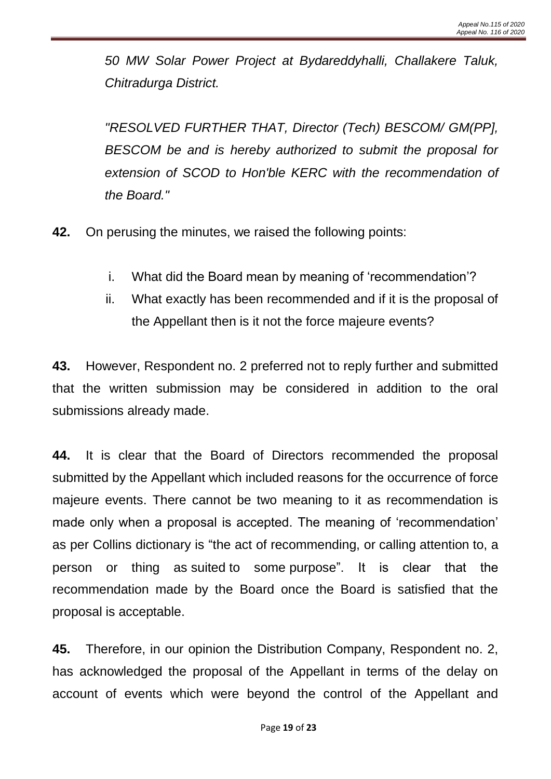*50 MW Solar Power Project at Bydareddyhalli, Challakere Taluk, Chitradurga District.*

*"RESOLVED FURTHER THAT, Director (Tech) BESCOM/ GM(PP], BESCOM be and is hereby authorized to submit the proposal for extension of SCOD to Hon'ble KERC with the recommendation of the Board."*

**42.** On perusing the minutes, we raised the following points:

- i. What did the Board mean by meaning of 'recommendation'?
- ii. What exactly has been recommended and if it is the proposal of the Appellant then is it not the force majeure events?

**43.** However, Respondent no. 2 preferred not to reply further and submitted that the written submission may be considered in addition to the oral submissions already made.

**44.** It is clear that the Board of Directors recommended the proposal submitted by the Appellant which included reasons for the occurrence of force majeure events. There cannot be two meaning to it as recommendation is made only when a proposal is accepted. The meaning of 'recommendation' as per Collins dictionary is "the act of recommending, or [calling](https://www.collinsdictionary.com/dictionary/english/calling) [attention](https://www.collinsdictionary.com/dictionary/english/attention) to, a person or thing as [suited](https://www.collinsdictionary.com/dictionary/english/suit) to some [purpose"](https://www.collinsdictionary.com/dictionary/english/purpose). It is clear that the recommendation made by the Board once the Board is satisfied that the proposal is acceptable.

**45.** Therefore, in our opinion the Distribution Company, Respondent no. 2, has acknowledged the proposal of the Appellant in terms of the delay on account of events which were beyond the control of the Appellant and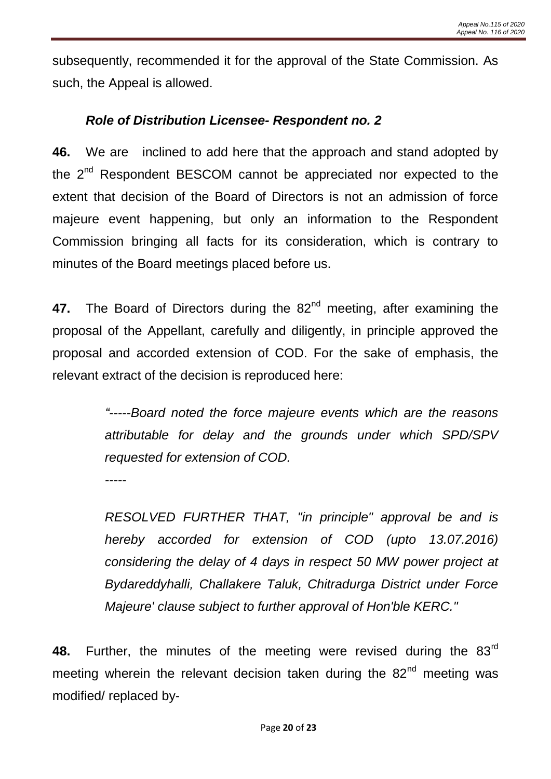subsequently, recommended it for the approval of the State Commission. As such, the Appeal is allowed.

### *Role of Distribution Licensee- Respondent no. 2*

**46.** We are inclined to add here that the approach and stand adopted by the 2<sup>nd</sup> Respondent BESCOM cannot be appreciated nor expected to the extent that decision of the Board of Directors is not an admission of force majeure event happening, but only an information to the Respondent Commission bringing all facts for its consideration, which is contrary to minutes of the Board meetings placed before us.

47. The Board of Directors during the 82<sup>nd</sup> meeting, after examining the proposal of the Appellant, carefully and diligently, in principle approved the proposal and accorded extension of COD. For the sake of emphasis, the relevant extract of the decision is reproduced here:

> *"-----Board noted the force majeure events which are the reasons attributable for delay and the grounds under which SPD/SPV requested for extension of COD. -----*

> *RESOLVED FURTHER THAT, "in principle" approval be and is hereby accorded for extension of COD (upto 13.07.2016) considering the delay of 4 days in respect 50 MW power project at Bydareddyhalli, Challakere Taluk, Chitradurga District under Force Majeure' clause subject to further approval of Hon'ble KERC."*

**48.** Further, the minutes of the meeting were revised during the 83rd meeting wherein the relevant decision taken during the  $82<sup>nd</sup>$  meeting was modified/ replaced by-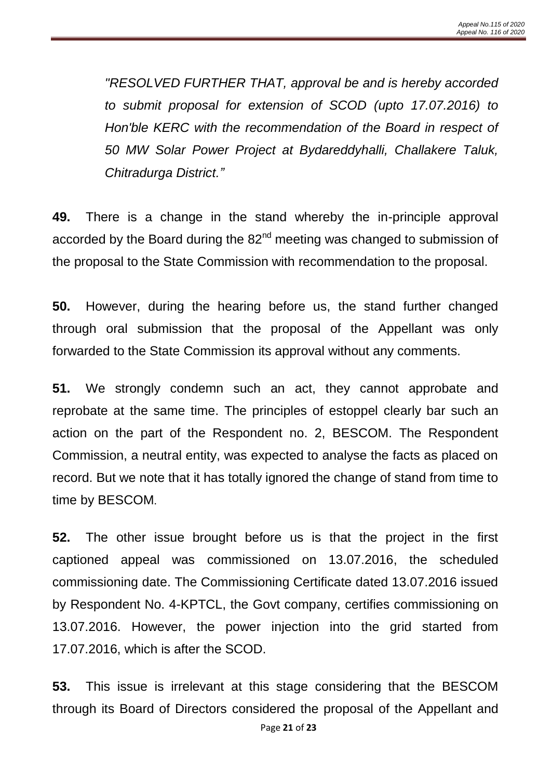*"RESOLVED FURTHER THAT, approval be and is hereby accorded to submit proposal for extension of SCOD (upto 17.07.2016) to Hon'ble KERC with the recommendation of the Board in respect of 50 MW Solar Power Project at Bydareddyhalli, Challakere Taluk, Chitradurga District."*

**49.** There is a change in the stand whereby the in-principle approval accorded by the Board during the  $82<sup>nd</sup>$  meeting was changed to submission of the proposal to the State Commission with recommendation to the proposal.

**50.** However, during the hearing before us, the stand further changed through oral submission that the proposal of the Appellant was only forwarded to the State Commission its approval without any comments.

**51.** We strongly condemn such an act, they cannot approbate and reprobate at the same time. The principles of estoppel clearly bar such an action on the part of the Respondent no. 2, BESCOM. The Respondent Commission, a neutral entity, was expected to analyse the facts as placed on record. But we note that it has totally ignored the change of stand from time to time by BESCOM.

**52.** The other issue brought before us is that the project in the first captioned appeal was commissioned on 13.07.2016, the scheduled commissioning date. The Commissioning Certificate dated 13.07.2016 issued by Respondent No. 4-KPTCL, the Govt company, certifies commissioning on 13.07.2016. However, the power injection into the grid started from 17.07.2016, which is after the SCOD.

**53.** This issue is irrelevant at this stage considering that the BESCOM through its Board of Directors considered the proposal of the Appellant and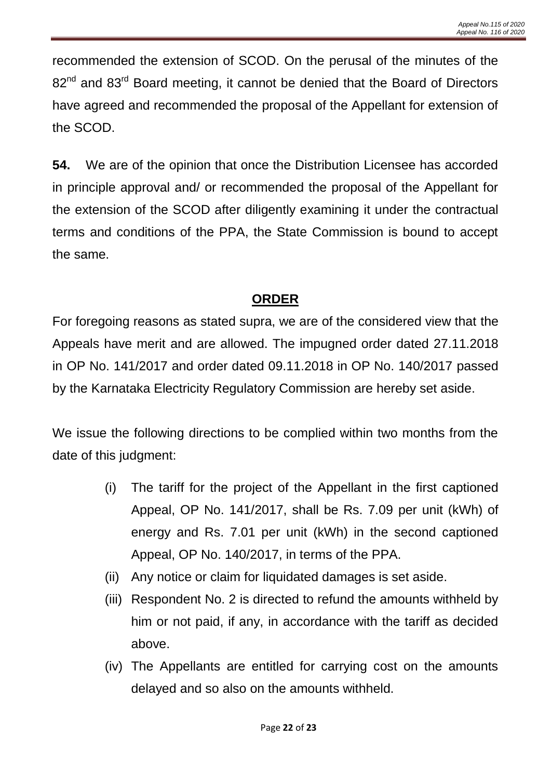recommended the extension of SCOD. On the perusal of the minutes of the 82<sup>nd</sup> and 83<sup>rd</sup> Board meeting, it cannot be denied that the Board of Directors have agreed and recommended the proposal of the Appellant for extension of the SCOD.

**54.** We are of the opinion that once the Distribution Licensee has accorded in principle approval and/ or recommended the proposal of the Appellant for the extension of the SCOD after diligently examining it under the contractual terms and conditions of the PPA, the State Commission is bound to accept the same.

# **ORDER**

For foregoing reasons as stated supra, we are of the considered view that the Appeals have merit and are allowed. The impugned order dated 27.11.2018 in OP No. 141/2017 and order dated 09.11.2018 in OP No. 140/2017 passed by the Karnataka Electricity Regulatory Commission are hereby set aside.

We issue the following directions to be complied within two months from the date of this judgment:

- (i) The tariff for the project of the Appellant in the first captioned Appeal, OP No. 141/2017, shall be Rs. 7.09 per unit (kWh) of energy and Rs. 7.01 per unit (kWh) in the second captioned Appeal, OP No. 140/2017, in terms of the PPA.
- (ii) Any notice or claim for liquidated damages is set aside.
- (iii) Respondent No. 2 is directed to refund the amounts withheld by him or not paid, if any, in accordance with the tariff as decided above.
- (iv) The Appellants are entitled for carrying cost on the amounts delayed and so also on the amounts withheld.